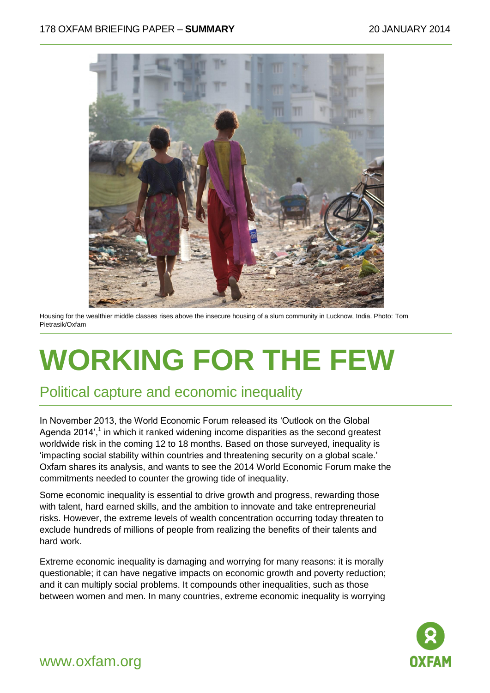

Housing for the wealthier middle classes rises above the insecure housing of a slum community in Lucknow, India. Photo: Tom Pietrasik/Oxfam

# **WORKING FOR THE FEW**

## Political capture and economic inequality

In November 2013, the World Economic Forum released its 'Outlook on the Global Agenda 2014',<sup>1</sup> in which it ranked widening income disparities as the second greatest worldwide risk in the coming 12 to 18 months. Based on those surveyed, inequality is 'impacting social stability within countries and threatening security on a global scale.' Oxfam shares its analysis, and wants to see the 2014 World Economic Forum make the commitments needed to counter the growing tide of inequality.

Some economic inequality is essential to drive growth and progress, rewarding those with talent, hard earned skills, and the ambition to innovate and take entrepreneurial risks. However, the extreme levels of wealth concentration occurring today threaten to exclude hundreds of millions of people from realizing the benefits of their talents and hard work.

Extreme economic inequality is damaging and worrying for many reasons: it is morally questionable; it can have negative impacts on economic growth and poverty reduction; and it can multiply social problems. It compounds other inequalities, such as those between women and men. In many countries, extreme economic inequality is worrying



### www.oxfam.org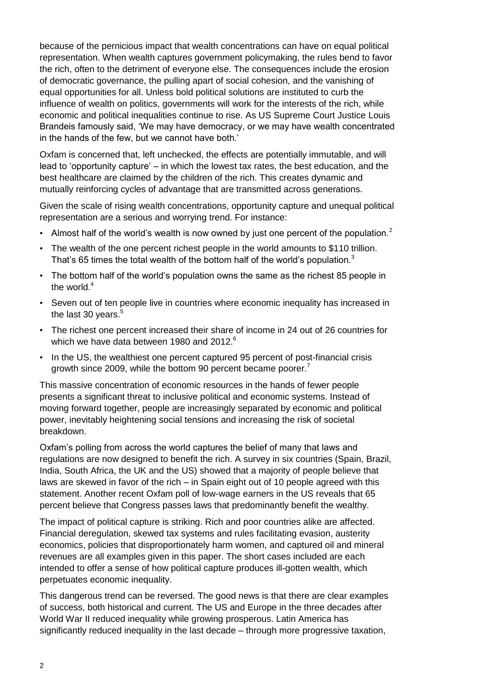because of the pernicious impact that wealth concentrations can have on equal political representation. When wealth captures government policymaking, the rules bend to favor the rich, often to the detriment of everyone else. The consequences include the erosion of democratic governance, the pulling apart of social cohesion, and the vanishing of equal opportunities for all. Unless bold political solutions are instituted to curb the influence of wealth on politics, governments will work for the interests of the rich, while economic and political inequalities continue to rise. As US Supreme Court Justice Louis Brandeis famously said, 'We may have democracy, or we may have wealth concentrated in the hands of the few, but we cannot have both.'

Oxfam is concerned that, left unchecked, the effects are potentially immutable, and will lead to 'opportunity capture' – in which the lowest tax rates, the best education, and the best healthcare are claimed by the children of the rich. This creates dynamic and mutually reinforcing cycles of advantage that are transmitted across generations.

Given the scale of rising wealth concentrations, opportunity capture and unequal political representation are a serious and worrying trend. For instance:

- Almost half of the world's wealth is now owned by just one percent of the population.<sup>2</sup>
- The wealth of the one percent richest people in the world amounts to \$110 trillion. That's 65 times the total wealth of the bottom half of the world's population.<sup>3</sup>
- The bottom half of the world's population owns the same as the richest 85 people in the world  $4$
- Seven out of ten people live in countries where economic inequality has increased in the last 30 years.<sup>5</sup>
- The richest one percent increased their share of income in 24 out of 26 countries for which we have data between 1980 and 2012.<sup>6</sup>
- In the US, the wealthiest one percent captured 95 percent of post-financial crisis growth since 2009, while the bottom 90 percent became poorer.<sup>7</sup>

This massive concentration of economic resources in the hands of fewer people presents a significant threat to inclusive political and economic systems. Instead of moving forward together, people are increasingly separated by economic and political power, inevitably heightening social tensions and increasing the risk of societal breakdown.

Oxfam's polling from across the world captures the belief of many that laws and regulations are now designed to benefit the rich. A survey in six countries (Spain, Brazil, India, South Africa, the UK and the US) showed that a majority of people believe that laws are skewed in favor of the rich – in Spain eight out of 10 people agreed with this statement. Another recent Oxfam poll of low-wage earners in the US reveals that 65 percent believe that Congress passes laws that predominantly benefit the wealthy.

The impact of political capture is striking. Rich and poor countries alike are affected. Financial deregulation, skewed tax systems and rules facilitating evasion, austerity economics, policies that disproportionately harm women, and captured oil and mineral revenues are all examples given in this paper. The short cases included are each intended to offer a sense of how political capture produces ill-gotten wealth, which perpetuates economic inequality.

This dangerous trend can be reversed. The good news is that there are clear examples of success, both historical and current. The US and Europe in the three decades after World War II reduced inequality while growing prosperous. Latin America has significantly reduced inequality in the last decade – through more progressive taxation,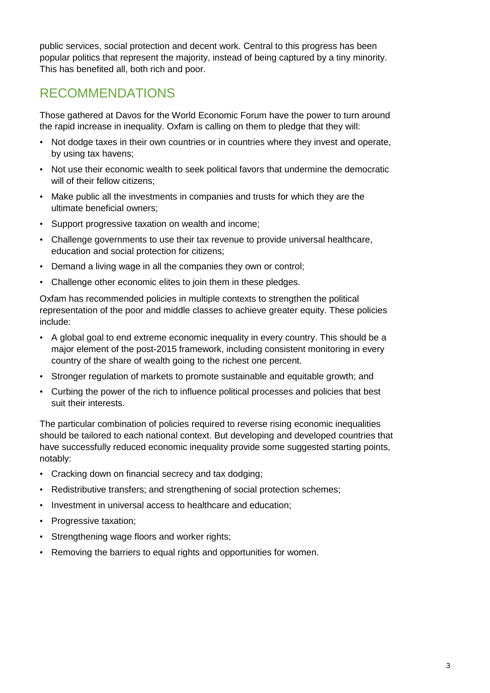public services, social protection and decent work. Central to this progress has been popular politics that represent the majority, instead of being captured by a tiny minority. This has benefited all, both rich and poor.

## RECOMMENDATIONS

Those gathered at Davos for the World Economic Forum have the power to turn around the rapid increase in inequality. Oxfam is calling on them to pledge that they will:

- Not dodge taxes in their own countries or in countries where they invest and operate, by using tax havens;
- Not use their economic wealth to seek political favors that undermine the democratic will of their fellow citizens:
- Make public all the investments in companies and trusts for which they are the ultimate beneficial owners;
- Support progressive taxation on wealth and income;
- Challenge governments to use their tax revenue to provide universal healthcare, education and social protection for citizens;
- Demand a living wage in all the companies they own or control;
- Challenge other economic elites to join them in these pledges.

Oxfam has recommended policies in multiple contexts to strengthen the political representation of the poor and middle classes to achieve greater equity. These policies include:

- A global goal to end extreme economic inequality in every country. This should be a major element of the post-2015 framework, including consistent monitoring in every country of the share of wealth going to the richest one percent.
- Stronger regulation of markets to promote sustainable and equitable growth; and
- Curbing the power of the rich to influence political processes and policies that best suit their interests.

The particular combination of policies required to reverse rising economic inequalities should be tailored to each national context. But developing and developed countries that have successfully reduced economic inequality provide some suggested starting points, notably:

- Cracking down on financial secrecy and tax dodging;
- Redistributive transfers; and strengthening of social protection schemes;
- Investment in universal access to healthcare and education;
- Progressive taxation:
- Strengthening wage floors and worker rights;
- Removing the barriers to equal rights and opportunities for women.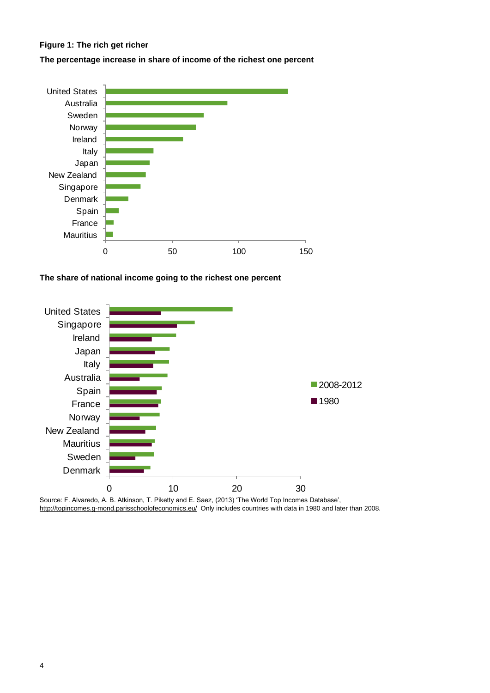#### **Figure 1: The rich get richer**

**The percentage increase in share of income of the richest one percent**



**The share of national income going to the richest one percent**



Source: F. Alvaredo, A. B. Atkinson, T. Piketty and E. Saez, (2013) 'The World Top Incomes Database', <http://topincomes.g-mond.parisschoolofeconomics.eu/>Only includes countries with data in 1980 and later than 2008.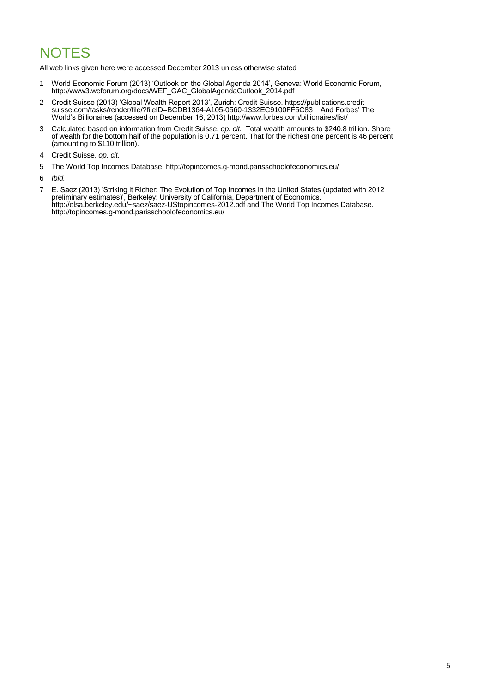# **NOTES**

All web links given here were accessed December 2013 unless otherwise stated

- 1 World Economic Forum (2013) 'Outlook on the Global Agenda 2014', Geneva: World Economic Forum, [http://www3.weforum.org/docs/WEF\\_GAC\\_GlobalAgendaOutlook\\_2014.pdf](http://www3.weforum.org/docs/WEF_GAC_GlobalAgendaOutlook_2014.pdf)
- 2 Credit Suisse (2013) 'Global Wealth Report 2013', Zurich: Credit Suisse[. https://publications.credit](https://publications.credit-suisse.com/tasks/render/file/?fileID=BCDB1364-A105-0560-1332EC9100FF5C83)[suisse.com/tasks/render/file/?fileID=BCDB1364-A105-0560-1332EC9100FF5C83](https://publications.credit-suisse.com/tasks/render/file/?fileID=BCDB1364-A105-0560-1332EC9100FF5C83) And Forbes' The World's Billionaires (accessed on December 16, 2013[\) http://www.forbes.com/billionaires/list/](http://www.forbes.com/billionaires/list/)
- 3 Calculated based on information from Credit Suisse, *op. cit.* Total wealth amounts to \$240.8 trillion. Share of wealth for the bottom half of the population is 0.71 percent. That for the richest one percent is 46 percent (amounting to \$110 trillion).
- 4 Credit Suisse, *op. cit.*
- 5 The World Top Incomes Database[, http://topincomes.g-mond.parisschoolofeconomics.eu/](http://topincomes.g-mond.parisschoolofeconomics.eu/)
- 6 *Ibid.*
- 7 E. Saez (2013) 'Striking it Richer: The Evolution of Top Incomes in the United States (updated with 2012 preliminary estimates)', Berkeley: University of California, Department of Economics. <http://elsa.berkeley.edu/~saez/saez-UStopincomes-2012.pdf> and The World Top Incomes Database. <http://topincomes.g-mond.parisschoolofeconomics.eu/>